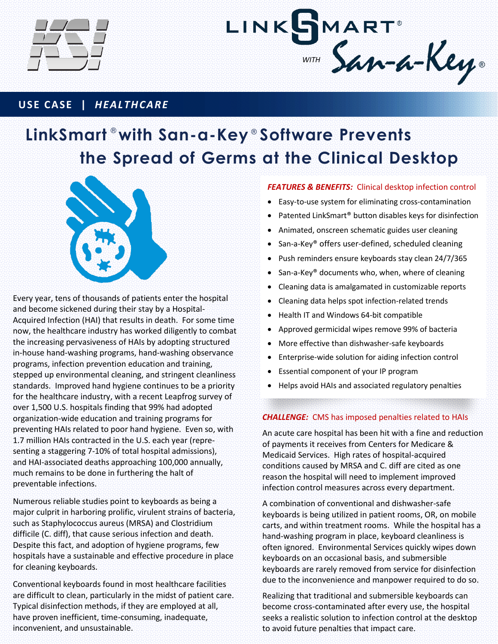



# **USE CASE |** *HEALTHCARE*

# **LinkSmart with San-a-Key Software Prevents** ® ® **the Spread of Germs at the Clinical Desktop**



Every year, tens of thousands of patients enter the hospital and become sickened during their stay by a Hospital-Acquired Infection (HAI) that results in death. For some time now, the healthcare industry has worked diligently to combat the increasing pervasiveness of HAIs by adopting structured in-house hand-washing programs, hand-washing observance programs, infection prevention education and training, stepped up environmental cleaning, and stringent cleanliness standards. Improved hand hygiene continues to be a priority for the healthcare industry, with a recent Leapfrog survey of over 1,500 U.S. hospitals finding that 99% had adopted organization-wide education and training programs for preventing HAIs related to poor hand hygiene. Even so, with 1.7 million HAIs contracted in the U.S. each year (representing a staggering 7-10% of total hospital admissions), and HAI-associated deaths approaching 100,000 annually, much remains to be done in furthering the halt of preventable infections.

Numerous reliable studies point to keyboards as being a major culprit in harboring prolific, virulent strains of bacteria, such as Staphylococcus aureus (MRSA) and Clostridium difficile (C. diff), that cause serious infection and death. Despite this fact, and adoption of hygiene programs, few hospitals have a sustainable and effective procedure in place for cleaning keyboards.

Conventional keyboards found in most healthcare facilities are difficult to clean, particularly in the midst of patient care. Typical disinfection methods, if they are employed at all, have proven inefficient, time-consuming, inadequate, inconvenient, and unsustainable.

## *FEATURES & BENEFITS:* Clinical desktop infection control

- Easy-to-use system for eliminating cross-contamination
- Patented LinkSmart® button disables keys for disinfection
- Animated, onscreen schematic guides user cleaning
- San-a-Key® offers user-defined, scheduled cleaning
- Push reminders ensure keyboards stay clean 24/7/365
- San-a-Key<sup>®</sup> documents who, when, where of cleaning
- Cleaning data is amalgamated in customizable reports
- Cleaning data helps spot infection-related trends
- Health IT and Windows 64-bit compatible
- Approved germicidal wipes remove 99% of bacteria
- More effective than dishwasher-safe keyboards
- Enterprise-wide solution for aiding infection control
- Essential component of your IP program
- Helps avoid HAIs and associated regulatory penalties

#### *CHALLENGE:* CMS has imposed penalties related to HAIs

An acute care hospital has been hit with a fine and reduction of payments it receives from Centers for Medicare & Medicaid Services. High rates of hospital-acquired conditions caused by MRSA and C. diff are cited as one reason the hospital will need to implement improved infection control measures across every department.

A combination of conventional and dishwasher-safe keyboards is being utilized in patient rooms, OR, on mobile carts, and within treatment rooms. While the hospital has a hand-washing program in place, keyboard cleanliness is often ignored. Environmental Services quickly wipes down keyboards on an occasional basis, and submersible keyboards are rarely removed from service for disinfection due to the inconvenience and manpower required to do so.

Realizing that traditional and submersible keyboards can become cross-contaminated after every use, the hospital seeks a realistic solution to infection control at the desktop to avoid future penalties that impact care.